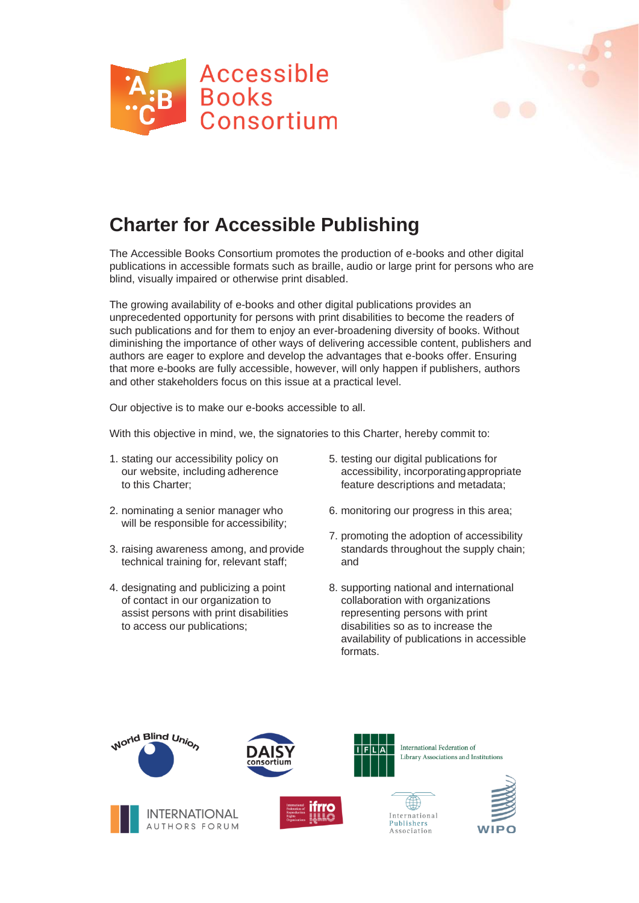



The Accessible Books Consortium promotes the production of e-books and other digital publications in accessible formats such as braille, audio or large print for persons who are blind, visually impaired or otherwise print disabled.

The growing availability of e-books and other digital publications provides an unprecedented opportunity for persons with print disabilities to become the readers of such publications and for them to enjoy an ever-broadening diversity of books. Without diminishing the importance of other ways of delivering accessible content, publishers and authors are eager to explore and develop the advantages that e-books offer. Ensuring that more e-books are fully accessible, however, will only happen if publishers, authors and other stakeholders focus on this issue at a practical level.

Our objective is to make our e-books accessible to all.

With this objective in mind, we, the signatories to this Charter, hereby commit to:

- 1. stating our accessibility policy on our website, includingadherence to this Charter;
- 2. nominating a senior manager who will be responsible for accessibility;
- 3. raising awareness among, and provide technical training for, relevant staff;
- 4. designating and publicizing a point of contact in our organization to assist persons with print disabilities to access our publications;
- 5. testing our digital publications for accessibility, incorporatingappropriate feature descriptions and metadata;
- 6. monitoring our progress in this area;
- 7. promoting the adoption of accessibility standards throughout the supply chain; and
- 8. supporting national and international collaboration with organizations representing persons with print disabilities so as to increase the availability of publications in accessible formats.